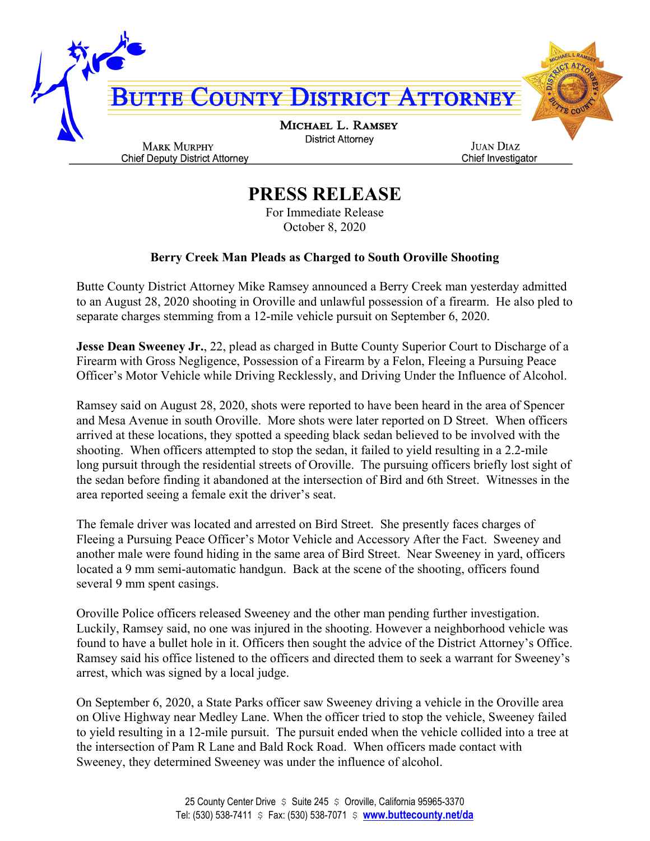

## **PRESS RELEASE**

For Immediate Release October 8, 2020

## **Berry Creek Man Pleads as Charged to South Oroville Shooting**

Butte County District Attorney Mike Ramsey announced a Berry Creek man yesterday admitted to an August 28, 2020 shooting in Oroville and unlawful possession of a firearm. He also pled to separate charges stemming from a 12-mile vehicle pursuit on September 6, 2020.

**Jesse Dean Sweeney Jr., 22, plead as charged in Butte County Superior Court to Discharge of a** Firearm with Gross Negligence, Possession of a Firearm by a Felon, Fleeing a Pursuing Peace Officer's Motor Vehicle while Driving Recklessly, and Driving Under the Influence of Alcohol.

Ramsey said on August 28, 2020, shots were reported to have been heard in the area of Spencer and Mesa Avenue in south Oroville. More shots were later reported on D Street. When officers arrived at these locations, they spotted a speeding black sedan believed to be involved with the shooting. When officers attempted to stop the sedan, it failed to yield resulting in a 2.2-mile long pursuit through the residential streets of Oroville. The pursuing officers briefly lost sight of the sedan before finding it abandoned at the intersection of Bird and 6th Street. Witnesses in the area reported seeing a female exit the driver's seat.

The female driver was located and arrested on Bird Street. She presently faces charges of Fleeing a Pursuing Peace Officer's Motor Vehicle and Accessory After the Fact. Sweeney and another male were found hiding in the same area of Bird Street. Near Sweeney in yard, officers located a 9 mm semi-automatic handgun. Back at the scene of the shooting, officers found several 9 mm spent casings.

Oroville Police officers released Sweeney and the other man pending further investigation. Luckily, Ramsey said, no one was injured in the shooting. However a neighborhood vehicle was found to have a bullet hole in it. Officers then sought the advice of the District Attorney's Office. Ramsey said his office listened to the officers and directed them to seek a warrant for Sweeney's arrest, which was signed by a local judge.

On September 6, 2020, a State Parks officer saw Sweeney driving a vehicle in the Oroville area on Olive Highway near Medley Lane. When the officer tried to stop the vehicle, Sweeney failed to yield resulting in a 12-mile pursuit. The pursuit ended when the vehicle collided into a tree at the intersection of Pam R Lane and Bald Rock Road. When officers made contact with Sweeney, they determined Sweeney was under the influence of alcohol.